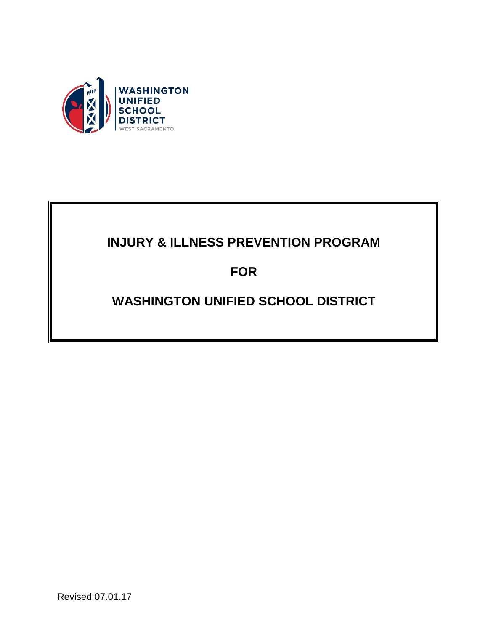

# **INJURY & ILLNESS PREVENTION PROGRAM**

**FOR**

# **WASHINGTON UNIFIED SCHOOL DISTRICT**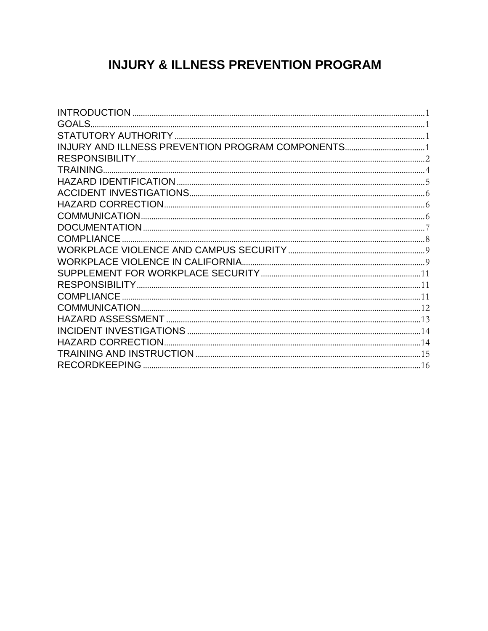# **INJURY & ILLNESS PREVENTION PROGRAM**

| <b>GOALS.</b>     |  |
|-------------------|--|
|                   |  |
|                   |  |
|                   |  |
| TRAINING          |  |
|                   |  |
|                   |  |
|                   |  |
|                   |  |
|                   |  |
| <b>COMPLIANCE</b> |  |
|                   |  |
|                   |  |
|                   |  |
|                   |  |
| COMPLIANCE        |  |
|                   |  |
|                   |  |
|                   |  |
|                   |  |
|                   |  |
|                   |  |
|                   |  |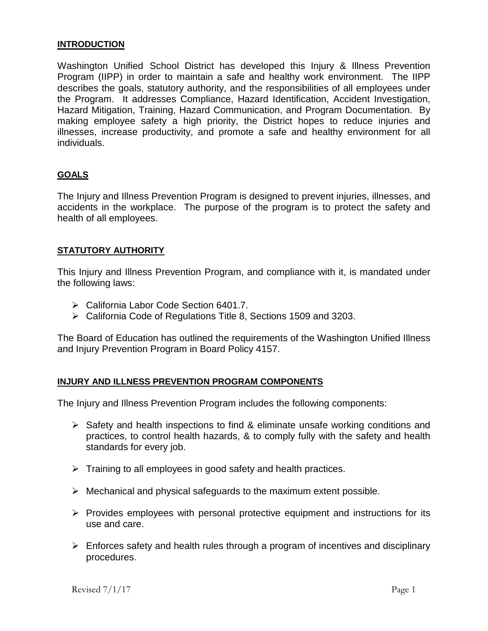#### <span id="page-2-0"></span>**INTRODUCTION**

Washington Unified School District has developed this Injury & Illness Prevention Program (IIPP) in order to maintain a safe and healthy work environment. The IIPP describes the goals, statutory authority, and the responsibilities of all employees under the Program. It addresses Compliance, Hazard Identification, Accident Investigation, Hazard Mitigation, Training, Hazard Communication, and Program Documentation. By making employee safety a high priority, the District hopes to reduce injuries and illnesses, increase productivity, and promote a safe and healthy environment for all individuals.

#### <span id="page-2-1"></span>**GOALS**

The Injury and Illness Prevention Program is designed to prevent injuries, illnesses, and accidents in the workplace. The purpose of the program is to protect the safety and health of all employees.

#### <span id="page-2-2"></span>**STATUTORY AUTHORITY**

This Injury and Illness Prevention Program, and compliance with it, is mandated under the following laws:

- California Labor Code Section 6401.7.
- California Code of Regulations Title 8, Sections 1509 and 3203.

The Board of Education has outlined the requirements of the Washington Unified Illness and Injury Prevention Program in Board Policy 4157.

#### <span id="page-2-3"></span>**INJURY AND ILLNESS PREVENTION PROGRAM COMPONENTS**

The Injury and Illness Prevention Program includes the following components:

- $\triangleright$  Safety and health inspections to find & eliminate unsafe working conditions and practices, to control health hazards, & to comply fully with the safety and health standards for every job.
- $\triangleright$  Training to all employees in good safety and health practices.
- $\triangleright$  Mechanical and physical safeguards to the maximum extent possible.
- $\triangleright$  Provides employees with personal protective equipment and instructions for its use and care.
- $\triangleright$  Enforces safety and health rules through a program of incentives and disciplinary procedures.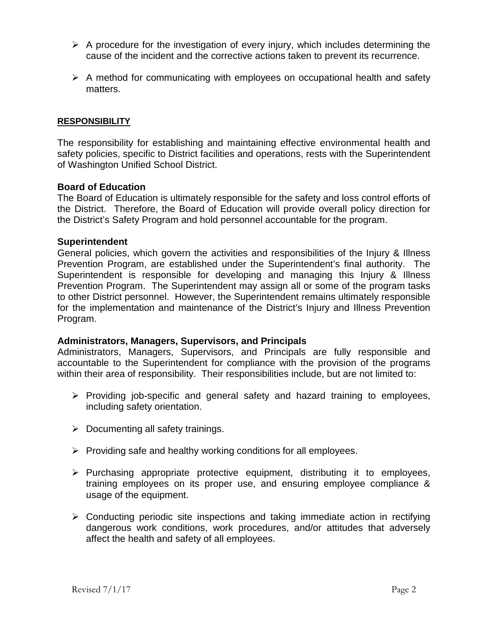- $\triangleright$  A procedure for the investigation of every injury, which includes determining the cause of the incident and the corrective actions taken to prevent its recurrence.
- $\triangleright$  A method for communicating with employees on occupational health and safety matters.

### <span id="page-3-0"></span>**RESPONSIBILITY**

The responsibility for establishing and maintaining effective environmental health and safety policies, specific to District facilities and operations, rests with the Superintendent of Washington Unified School District.

#### **Board of Education**

The Board of Education is ultimately responsible for the safety and loss control efforts of the District. Therefore, the Board of Education will provide overall policy direction for the District's Safety Program and hold personnel accountable for the program.

#### **Superintendent**

General policies, which govern the activities and responsibilities of the Injury & Illness Prevention Program, are established under the Superintendent's final authority. The Superintendent is responsible for developing and managing this Injury & Illness Prevention Program. The Superintendent may assign all or some of the program tasks to other District personnel. However, the Superintendent remains ultimately responsible for the implementation and maintenance of the District's Injury and Illness Prevention Program.

#### **Administrators, Managers, Supervisors, and Principals**

Administrators, Managers, Supervisors, and Principals are fully responsible and accountable to the Superintendent for compliance with the provision of the programs within their area of responsibility. Their responsibilities include, but are not limited to:

- $\triangleright$  Providing job-specific and general safety and hazard training to employees, including safety orientation.
- $\triangleright$  Documenting all safety trainings.
- $\triangleright$  Providing safe and healthy working conditions for all employees.
- $\triangleright$  Purchasing appropriate protective equipment, distributing it to employees, training employees on its proper use, and ensuring employee compliance & usage of the equipment.
- $\triangleright$  Conducting periodic site inspections and taking immediate action in rectifying dangerous work conditions, work procedures, and/or attitudes that adversely affect the health and safety of all employees.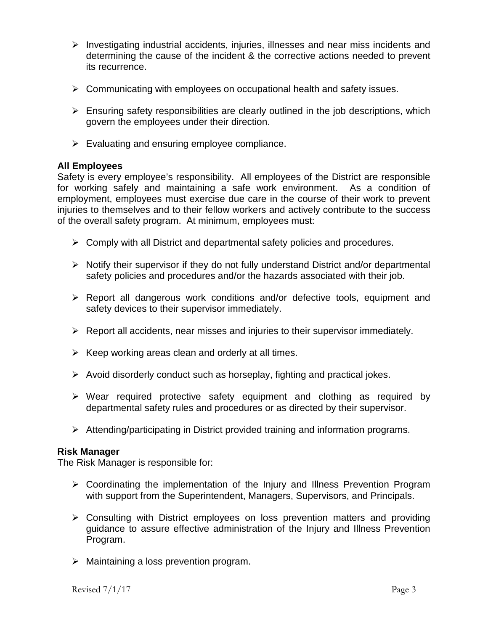- $\triangleright$  Investigating industrial accidents, injuries, illnesses and near miss incidents and determining the cause of the incident & the corrective actions needed to prevent its recurrence.
- $\triangleright$  Communicating with employees on occupational health and safety issues.
- $\triangleright$  Ensuring safety responsibilities are clearly outlined in the job descriptions, which govern the employees under their direction.
- $\triangleright$  Evaluating and ensuring employee compliance.

## **All Employees**

Safety is every employee's responsibility. All employees of the District are responsible for working safely and maintaining a safe work environment. As a condition of employment, employees must exercise due care in the course of their work to prevent injuries to themselves and to their fellow workers and actively contribute to the success of the overall safety program. At minimum, employees must:

- $\triangleright$  Comply with all District and departmental safety policies and procedures.
- $\triangleright$  Notify their supervisor if they do not fully understand District and/or departmental safety policies and procedures and/or the hazards associated with their job.
- Report all dangerous work conditions and/or defective tools, equipment and safety devices to their supervisor immediately.
- $\triangleright$  Report all accidents, near misses and injuries to their supervisor immediately.
- $\triangleright$  Keep working areas clean and orderly at all times.
- $\triangleright$  Avoid disorderly conduct such as horseplay, fighting and practical jokes.
- $\triangleright$  Wear required protective safety equipment and clothing as required by departmental safety rules and procedures or as directed by their supervisor.
- Attending/participating in District provided training and information programs.

## **Risk Manager**

The Risk Manager is responsible for:

- $\triangleright$  Coordinating the implementation of the Injury and Illness Prevention Program with support from the Superintendent, Managers, Supervisors, and Principals.
- $\triangleright$  Consulting with District employees on loss prevention matters and providing guidance to assure effective administration of the Injury and Illness Prevention Program.
- $\triangleright$  Maintaining a loss prevention program.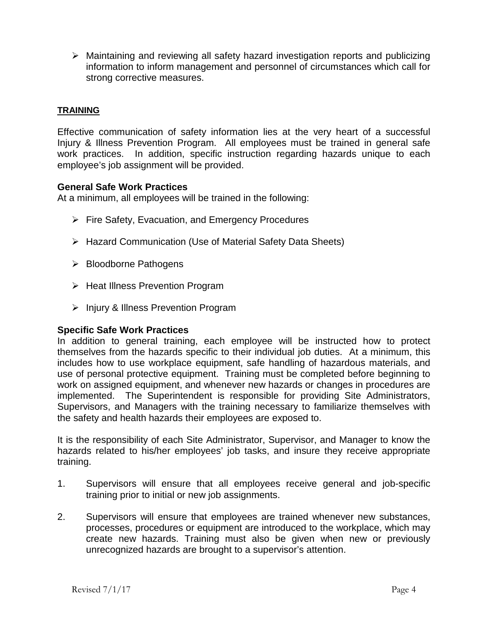$\triangleright$  Maintaining and reviewing all safety hazard investigation reports and publicizing information to inform management and personnel of circumstances which call for strong corrective measures.

## <span id="page-5-0"></span>**TRAINING**

Effective communication of safety information lies at the very heart of a successful Injury & Illness Prevention Program. All employees must be trained in general safe work practices. In addition, specific instruction regarding hazards unique to each employee's job assignment will be provided.

### **General Safe Work Practices**

At a minimum, all employees will be trained in the following:

- $\triangleright$  Fire Safety, Evacuation, and Emergency Procedures
- Hazard Communication (Use of Material Safety Data Sheets)
- ▶ Bloodborne Pathogens
- $\triangleright$  Heat Illness Prevention Program
- $\triangleright$  Injury & Illness Prevention Program

#### **Specific Safe Work Practices**

In addition to general training, each employee will be instructed how to protect themselves from the hazards specific to their individual job duties. At a minimum, this includes how to use workplace equipment, safe handling of hazardous materials, and use of personal protective equipment. Training must be completed before beginning to work on assigned equipment, and whenever new hazards or changes in procedures are implemented. The Superintendent is responsible for providing Site Administrators, Supervisors, and Managers with the training necessary to familiarize themselves with the safety and health hazards their employees are exposed to.

It is the responsibility of each Site Administrator, Supervisor, and Manager to know the hazards related to his/her employees' job tasks, and insure they receive appropriate training.

- 1. Supervisors will ensure that all employees receive general and job-specific training prior to initial or new job assignments.
- 2. Supervisors will ensure that employees are trained whenever new substances, processes, procedures or equipment are introduced to the workplace, which may create new hazards. Training must also be given when new or previously unrecognized hazards are brought to a supervisor's attention.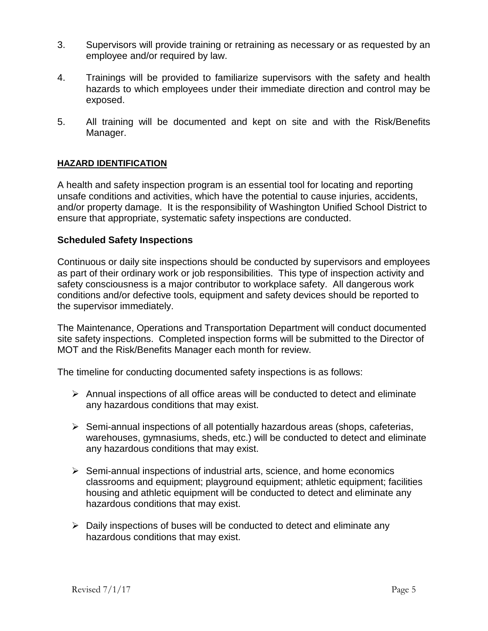- 3. Supervisors will provide training or retraining as necessary or as requested by an employee and/or required by law.
- 4. Trainings will be provided to familiarize supervisors with the safety and health hazards to which employees under their immediate direction and control may be exposed.
- 5. All training will be documented and kept on site and with the Risk/Benefits Manager.

## <span id="page-6-0"></span>**HAZARD IDENTIFICATION**

A health and safety inspection program is an essential tool for locating and reporting unsafe conditions and activities, which have the potential to cause injuries, accidents, and/or property damage. It is the responsibility of Washington Unified School District to ensure that appropriate, systematic safety inspections are conducted.

# **Scheduled Safety Inspections**

Continuous or daily site inspections should be conducted by supervisors and employees as part of their ordinary work or job responsibilities. This type of inspection activity and safety consciousness is a major contributor to workplace safety. All dangerous work conditions and/or defective tools, equipment and safety devices should be reported to the supervisor immediately.

The Maintenance, Operations and Transportation Department will conduct documented site safety inspections. Completed inspection forms will be submitted to the Director of MOT and the Risk/Benefits Manager each month for review.

The timeline for conducting documented safety inspections is as follows:

- $\triangleright$  Annual inspections of all office areas will be conducted to detect and eliminate any hazardous conditions that may exist.
- $\triangleright$  Semi-annual inspections of all potentially hazardous areas (shops, cafeterias, warehouses, gymnasiums, sheds, etc.) will be conducted to detect and eliminate any hazardous conditions that may exist.
- $\triangleright$  Semi-annual inspections of industrial arts, science, and home economics classrooms and equipment; playground equipment; athletic equipment; facilities housing and athletic equipment will be conducted to detect and eliminate any hazardous conditions that may exist.
- $\triangleright$  Daily inspections of buses will be conducted to detect and eliminate any hazardous conditions that may exist.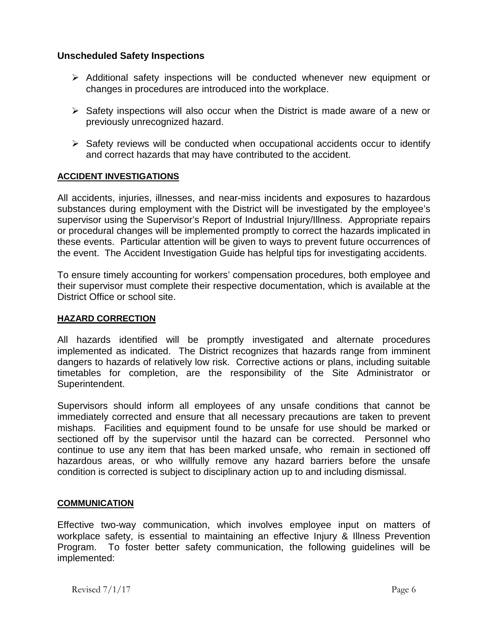# **Unscheduled Safety Inspections**

- $\triangleright$  Additional safety inspections will be conducted whenever new equipment or changes in procedures are introduced into the workplace.
- $\triangleright$  Safety inspections will also occur when the District is made aware of a new or previously unrecognized hazard.
- $\triangleright$  Safety reviews will be conducted when occupational accidents occur to identify and correct hazards that may have contributed to the accident.

## <span id="page-7-0"></span>**ACCIDENT INVESTIGATIONS**

All accidents, injuries, illnesses, and near-miss incidents and exposures to hazardous substances during employment with the District will be investigated by the employee's supervisor using the Supervisor's Report of Industrial Injury/Illness. Appropriate repairs or procedural changes will be implemented promptly to correct the hazards implicated in these events. Particular attention will be given to ways to prevent future occurrences of the event. The Accident Investigation Guide has helpful tips for investigating accidents.

To ensure timely accounting for workers' compensation procedures, both employee and their supervisor must complete their respective documentation, which is available at the District Office or school site.

## <span id="page-7-1"></span>**HAZARD CORRECTION**

All hazards identified will be promptly investigated and alternate procedures implemented as indicated. The District recognizes that hazards range from imminent dangers to hazards of relatively low risk. Corrective actions or plans, including suitable timetables for completion, are the responsibility of the Site Administrator or Superintendent.

Supervisors should inform all employees of any unsafe conditions that cannot be immediately corrected and ensure that all necessary precautions are taken to prevent mishaps. Facilities and equipment found to be unsafe for use should be marked or sectioned off by the supervisor until the hazard can be corrected. Personnel who continue to use any item that has been marked unsafe, who remain in sectioned off hazardous areas, or who willfully remove any hazard barriers before the unsafe condition is corrected is subject to disciplinary action up to and including dismissal.

## <span id="page-7-2"></span>**COMMUNICATION**

Effective two-way communication, which involves employee input on matters of workplace safety, is essential to maintaining an effective Injury & Illness Prevention Program. To foster better safety communication, the following guidelines will be implemented: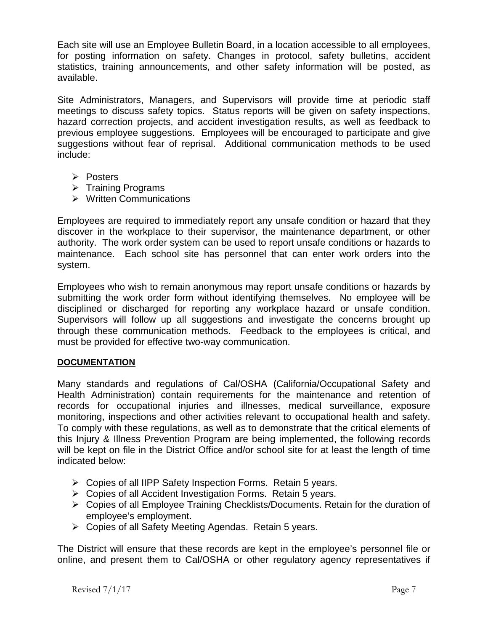Each site will use an Employee Bulletin Board, in a location accessible to all employees, for posting information on safety. Changes in protocol, safety bulletins, accident statistics, training announcements, and other safety information will be posted, as available.

Site Administrators, Managers, and Supervisors will provide time at periodic staff meetings to discuss safety topics. Status reports will be given on safety inspections, hazard correction projects, and accident investigation results, as well as feedback to previous employee suggestions. Employees will be encouraged to participate and give suggestions without fear of reprisal. Additional communication methods to be used include:

- **Posters**
- $\triangleright$  Training Programs
- **▶ Written Communications**

Employees are required to immediately report any unsafe condition or hazard that they discover in the workplace to their supervisor, the maintenance department, or other authority. The work order system can be used to report unsafe conditions or hazards to maintenance. Each school site has personnel that can enter work orders into the system.

Employees who wish to remain anonymous may report unsafe conditions or hazards by submitting the work order form without identifying themselves. No employee will be disciplined or discharged for reporting any workplace hazard or unsafe condition. Supervisors will follow up all suggestions and investigate the concerns brought up through these communication methods. Feedback to the employees is critical, and must be provided for effective two-way communication.

## <span id="page-8-0"></span>**DOCUMENTATION**

Many standards and regulations of Cal/OSHA (California/Occupational Safety and Health Administration) contain requirements for the maintenance and retention of records for occupational injuries and illnesses, medical surveillance, exposure monitoring, inspections and other activities relevant to occupational health and safety. To comply with these regulations, as well as to demonstrate that the critical elements of this Injury & Illness Prevention Program are being implemented, the following records will be kept on file in the District Office and/or school site for at least the length of time indicated below:

- Copies of all IIPP Safety Inspection Forms. Retain 5 years.
- $\triangleright$  Copies of all Accident Investigation Forms. Retain 5 years.
- Copies of all Employee Training Checklists/Documents. Retain for the duration of employee's employment.
- Copies of all Safety Meeting Agendas. Retain 5 years.

The District will ensure that these records are kept in the employee's personnel file or online, and present them to Cal/OSHA or other regulatory agency representatives if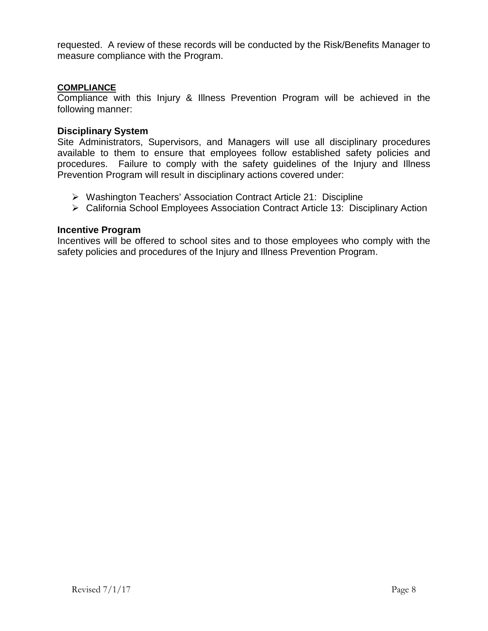requested. A review of these records will be conducted by the Risk/Benefits Manager to measure compliance with the Program.

#### <span id="page-9-0"></span>**COMPLIANCE**

Compliance with this Injury & Illness Prevention Program will be achieved in the following manner:

#### **Disciplinary System**

Site Administrators, Supervisors, and Managers will use all disciplinary procedures available to them to ensure that employees follow established safety policies and procedures. Failure to comply with the safety guidelines of the Injury and Illness Prevention Program will result in disciplinary actions covered under:

- Washington Teachers' Association Contract Article 21: Discipline
- California School Employees Association Contract Article 13: Disciplinary Action

#### **Incentive Program**

Incentives will be offered to school sites and to those employees who comply with the safety policies and procedures of the Injury and Illness Prevention Program.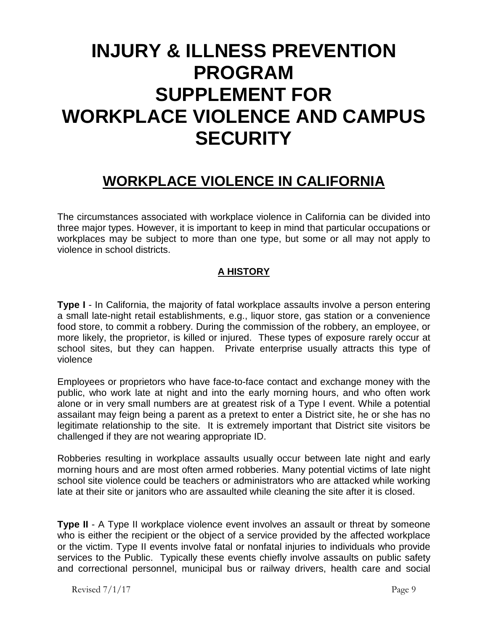# <span id="page-10-0"></span>**INJURY & ILLNESS PREVENTION PROGRAM SUPPLEMENT FOR WORKPLACE VIOLENCE AND CAMPUS SECURITY**

# **WORKPLACE VIOLENCE IN CALIFORNIA**

<span id="page-10-1"></span>The circumstances associated with workplace violence in California can be divided into three major types. However, it is important to keep in mind that particular occupations or workplaces may be subject to more than one type, but some or all may not apply to violence in school districts.

# **A HISTORY**

**Type I** - In California, the majority of fatal workplace assaults involve a person entering a small late-night retail establishments, e.g., liquor store, gas station or a convenience food store, to commit a robbery. During the commission of the robbery, an employee, or more likely, the proprietor, is killed or injured. These types of exposure rarely occur at school sites, but they can happen. Private enterprise usually attracts this type of violence

Employees or proprietors who have face-to-face contact and exchange money with the public, who work late at night and into the early morning hours, and who often work alone or in very small numbers are at greatest risk of a Type I event. While a potential assailant may feign being a parent as a pretext to enter a District site, he or she has no legitimate relationship to the site. It is extremely important that District site visitors be challenged if they are not wearing appropriate ID.

Robberies resulting in workplace assaults usually occur between late night and early morning hours and are most often armed robberies. Many potential victims of late night school site violence could be teachers or administrators who are attacked while working late at their site or janitors who are assaulted while cleaning the site after it is closed.

**Type II** - A Type II workplace violence event involves an assault or threat by someone who is either the recipient or the object of a service provided by the affected workplace or the victim. Type II events involve fatal or nonfatal injuries to individuals who provide services to the Public. Typically these events chiefly involve assaults on public safety and correctional personnel, municipal bus or railway drivers, health care and social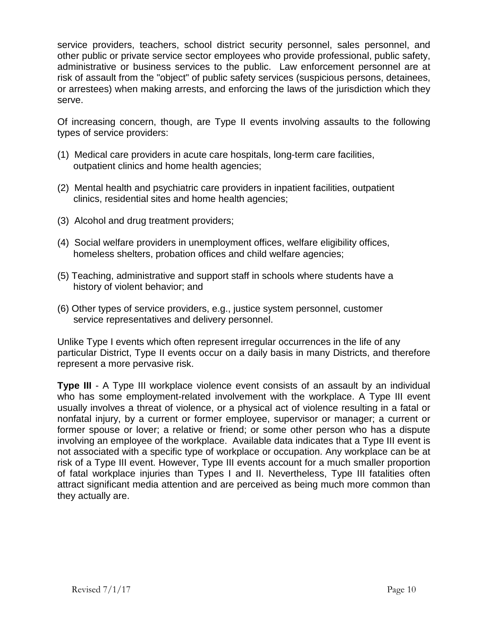service providers, teachers, school district security personnel, sales personnel, and other public or private service sector employees who provide professional, public safety, administrative or business services to the public. Law enforcement personnel are at risk of assault from the "object" of public safety services (suspicious persons, detainees, or arrestees) when making arrests, and enforcing the laws of the jurisdiction which they serve.

Of increasing concern, though, are Type II events involving assaults to the following types of service providers:

- (1) Medical care providers in acute care hospitals, long-term care facilities, outpatient clinics and home health agencies;
- (2) Mental health and psychiatric care providers in inpatient facilities, outpatient clinics, residential sites and home health agencies;
- (3) Alcohol and drug treatment providers;
- (4) Social welfare providers in unemployment offices, welfare eligibility offices, homeless shelters, probation offices and child welfare agencies;
- (5) Teaching, administrative and support staff in schools where students have a history of violent behavior; and
- (6) Other types of service providers, e.g., justice system personnel, customer service representatives and delivery personnel.

Unlike Type I events which often represent irregular occurrences in the life of any particular District, Type II events occur on a daily basis in many Districts, and therefore represent a more pervasive risk.

**Type III** - A Type III workplace violence event consists of an assault by an individual who has some employment-related involvement with the workplace. A Type III event usually involves a threat of violence, or a physical act of violence resulting in a fatal or nonfatal injury, by a current or former employee, supervisor or manager; a current or former spouse or lover; a relative or friend; or some other person who has a dispute involving an employee of the workplace. Available data indicates that a Type III event is not associated with a specific type of workplace or occupation. Any workplace can be at risk of a Type III event. However, Type III events account for a much smaller proportion of fatal workplace injuries than Types I and II. Nevertheless, Type III fatalities often attract significant media attention and are perceived as being much more common than they actually are.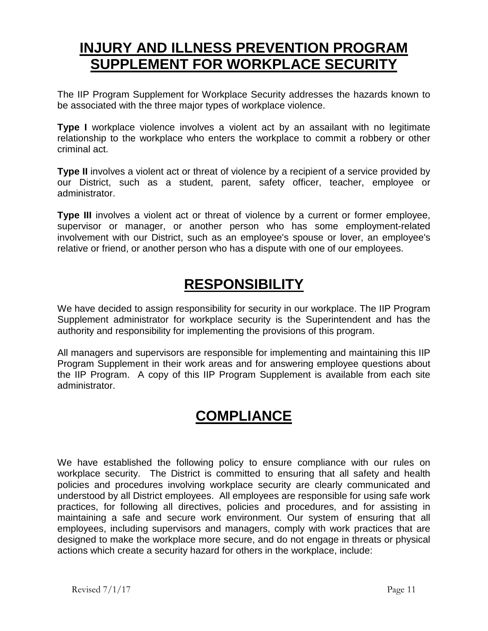# <span id="page-12-0"></span>**INJURY AND ILLNESS PREVENTION PROGRAM SUPPLEMENT FOR WORKPLACE SECURITY**

The IIP Program Supplement for Workplace Security addresses the hazards known to be associated with the three major types of workplace violence.

**Type I** workplace violence involves a violent act by an assailant with no legitimate relationship to the workplace who enters the workplace to commit a robbery or other criminal act.

**Type II** involves a violent act or threat of violence by a recipient of a service provided by our District, such as a student, parent, safety officer, teacher, employee or administrator.

**Type III** involves a violent act or threat of violence by a current or former employee, supervisor or manager, or another person who has some employment-related involvement with our District, such as an employee's spouse or lover, an employee's relative or friend, or another person who has a dispute with one of our employees.

# **RESPONSIBILITY**

<span id="page-12-1"></span>We have decided to assign responsibility for security in our workplace. The IIP Program Supplement administrator for workplace security is the Superintendent and has the authority and responsibility for implementing the provisions of this program.

All managers and supervisors are responsible for implementing and maintaining this IIP Program Supplement in their work areas and for answering employee questions about the IIP Program. A copy of this IIP Program Supplement is available from each site administrator.

# **COMPLIANCE**

<span id="page-12-2"></span>We have established the following policy to ensure compliance with our rules on workplace security. The District is committed to ensuring that all safety and health policies and procedures involving workplace security are clearly communicated and understood by all District employees. All employees are responsible for using safe work practices, for following all directives, policies and procedures, and for assisting in maintaining a safe and secure work environment. Our system of ensuring that all employees, including supervisors and managers, comply with work practices that are designed to make the workplace more secure, and do not engage in threats or physical actions which create a security hazard for others in the workplace, include: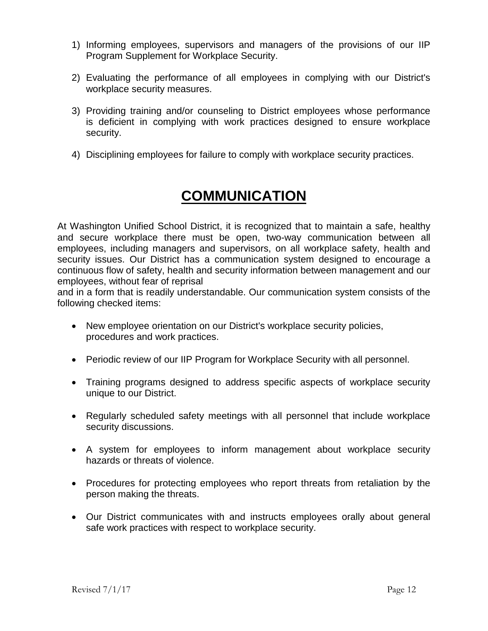- 1) Informing employees, supervisors and managers of the provisions of our IIP Program Supplement for Workplace Security.
- 2) Evaluating the performance of all employees in complying with our District's workplace security measures.
- 3) Providing training and/or counseling to District employees whose performance is deficient in complying with work practices designed to ensure workplace security.
- 4) Disciplining employees for failure to comply with workplace security practices.

# **COMMUNICATION**

<span id="page-13-0"></span>At Washington Unified School District, it is recognized that to maintain a safe, healthy and secure workplace there must be open, two-way communication between all employees, including managers and supervisors, on all workplace safety, health and security issues. Our District has a communication system designed to encourage a continuous flow of safety, health and security information between management and our employees, without fear of reprisal

and in a form that is readily understandable. Our communication system consists of the following checked items:

- New employee orientation on our District's workplace security policies, procedures and work practices.
- Periodic review of our IIP Program for Workplace Security with all personnel.
- Training programs designed to address specific aspects of workplace security unique to our District.
- Regularly scheduled safety meetings with all personnel that include workplace security discussions.
- A system for employees to inform management about workplace security hazards or threats of violence.
- Procedures for protecting employees who report threats from retaliation by the person making the threats.
- Our District communicates with and instructs employees orally about general safe work practices with respect to workplace security.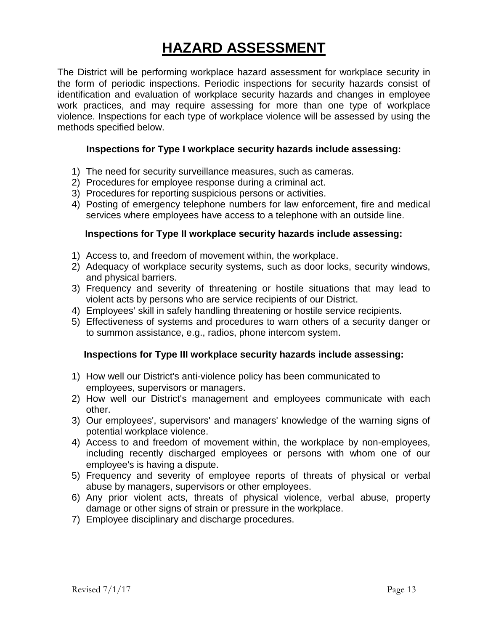# **HAZARD ASSESSMENT**

<span id="page-14-0"></span>The District will be performing workplace hazard assessment for workplace security in the form of periodic inspections. Periodic inspections for security hazards consist of identification and evaluation of workplace security hazards and changes in employee work practices, and may require assessing for more than one type of workplace violence. Inspections for each type of workplace violence will be assessed by using the methods specified below.

### **Inspections for Type I workplace security hazards include assessing:**

- 1) The need for security surveillance measures, such as cameras.
- 2) Procedures for employee response during a criminal act.
- 3) Procedures for reporting suspicious persons or activities.
- 4) Posting of emergency telephone numbers for law enforcement, fire and medical services where employees have access to a telephone with an outside line.

### **Inspections for Type II workplace security hazards include assessing:**

- 1) Access to, and freedom of movement within, the workplace.
- 2) Adequacy of workplace security systems, such as door locks, security windows, and physical barriers.
- 3) Frequency and severity of threatening or hostile situations that may lead to violent acts by persons who are service recipients of our District.
- 4) Employees' skill in safely handling threatening or hostile service recipients.
- 5) Effectiveness of systems and procedures to warn others of a security danger or to summon assistance, e.g., radios, phone intercom system.

#### **Inspections for Type III workplace security hazards include assessing:**

- 1) How well our District's anti-violence policy has been communicated to employees, supervisors or managers.
- 2) How well our District's management and employees communicate with each other.
- 3) Our employees', supervisors' and managers' knowledge of the warning signs of potential workplace violence.
- 4) Access to and freedom of movement within, the workplace by non-employees, including recently discharged employees or persons with whom one of our employee's is having a dispute.
- 5) Frequency and severity of employee reports of threats of physical or verbal abuse by managers, supervisors or other employees.
- 6) Any prior violent acts, threats of physical violence, verbal abuse, property damage or other signs of strain or pressure in the workplace.
- <span id="page-14-1"></span>7) Employee disciplinary and discharge procedures.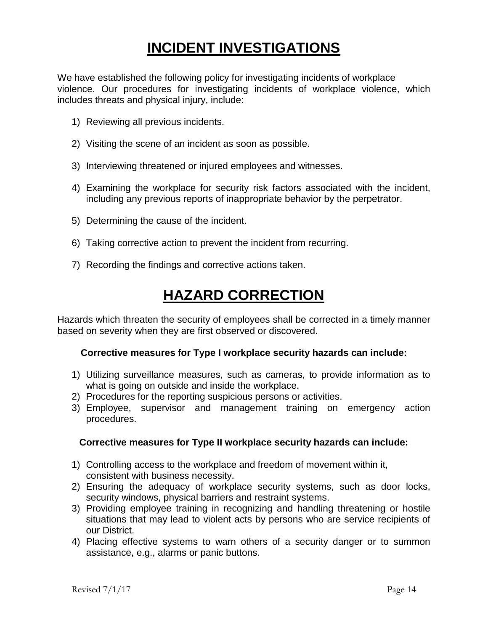# **INCIDENT INVESTIGATIONS**

We have established the following policy for investigating incidents of workplace violence. Our procedures for investigating incidents of workplace violence, which includes threats and physical injury, include:

- 1) Reviewing all previous incidents.
- 2) Visiting the scene of an incident as soon as possible.
- 3) Interviewing threatened or injured employees and witnesses.
- 4) Examining the workplace for security risk factors associated with the incident, including any previous reports of inappropriate behavior by the perpetrator.
- 5) Determining the cause of the incident.
- 6) Taking corrective action to prevent the incident from recurring.
- 7) Recording the findings and corrective actions taken.

# **HAZARD CORRECTION**

<span id="page-15-0"></span>Hazards which threaten the security of employees shall be corrected in a timely manner based on severity when they are first observed or discovered.

#### **Corrective measures for Type I workplace security hazards can include:**

- 1) Utilizing surveillance measures, such as cameras, to provide information as to what is going on outside and inside the workplace.
- 2) Procedures for the reporting suspicious persons or activities.
- 3) Employee, supervisor and management training on emergency action procedures.

## **Corrective measures for Type II workplace security hazards can include:**

- 1) Controlling access to the workplace and freedom of movement within it, consistent with business necessity.
- 2) Ensuring the adequacy of workplace security systems, such as door locks, security windows, physical barriers and restraint systems.
- 3) Providing employee training in recognizing and handling threatening or hostile situations that may lead to violent acts by persons who are service recipients of our District.
- 4) Placing effective systems to warn others of a security danger or to summon assistance, e.g., alarms or panic buttons.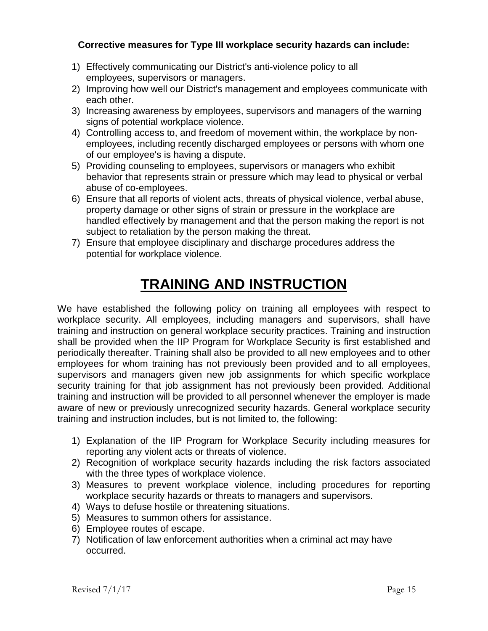# **Corrective measures for Type III workplace security hazards can include:**

- 1) Effectively communicating our District's anti-violence policy to all employees, supervisors or managers.
- 2) Improving how well our District's management and employees communicate with each other.
- 3) Increasing awareness by employees, supervisors and managers of the warning signs of potential workplace violence.
- 4) Controlling access to, and freedom of movement within, the workplace by nonemployees, including recently discharged employees or persons with whom one of our employee's is having a dispute.
- 5) Providing counseling to employees, supervisors or managers who exhibit behavior that represents strain or pressure which may lead to physical or verbal abuse of co-employees.
- 6) Ensure that all reports of violent acts, threats of physical violence, verbal abuse, property damage or other signs of strain or pressure in the workplace are handled effectively by management and that the person making the report is not subject to retaliation by the person making the threat.
- 7) Ensure that employee disciplinary and discharge procedures address the potential for workplace violence.

# **TRAINING AND INSTRUCTION**

<span id="page-16-0"></span>We have established the following policy on training all employees with respect to workplace security. All employees, including managers and supervisors, shall have training and instruction on general workplace security practices. Training and instruction shall be provided when the IIP Program for Workplace Security is first established and periodically thereafter. Training shall also be provided to all new employees and to other employees for whom training has not previously been provided and to all employees, supervisors and managers given new job assignments for which specific workplace security training for that job assignment has not previously been provided. Additional training and instruction will be provided to all personnel whenever the employer is made aware of new or previously unrecognized security hazards. General workplace security training and instruction includes, but is not limited to, the following:

- 1) Explanation of the IIP Program for Workplace Security including measures for reporting any violent acts or threats of violence.
- 2) Recognition of workplace security hazards including the risk factors associated with the three types of workplace violence.
- 3) Measures to prevent workplace violence, including procedures for reporting workplace security hazards or threats to managers and supervisors.
- 4) Ways to defuse hostile or threatening situations.
- 5) Measures to summon others for assistance.
- 6) Employee routes of escape.
- 7) Notification of law enforcement authorities when a criminal act may have occurred.